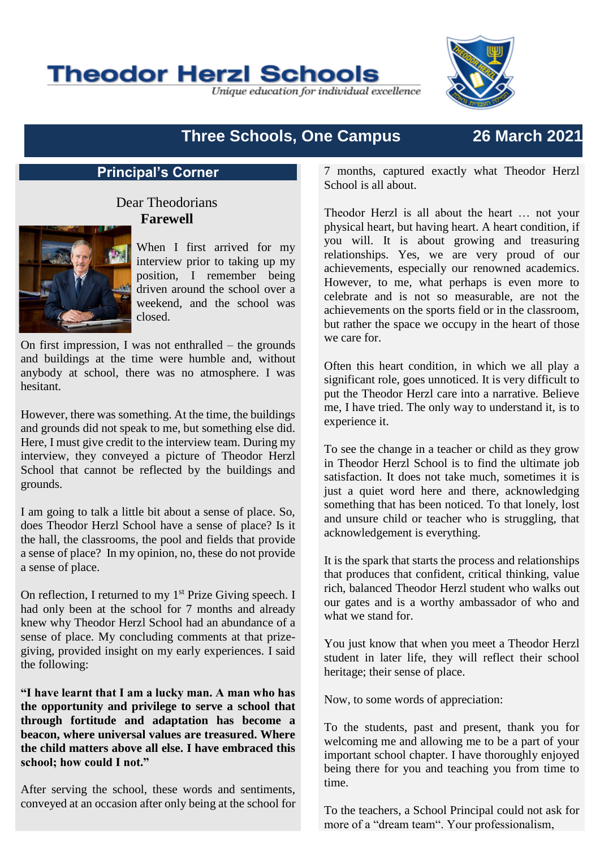## **Theodor Herzl Schools**

Unique education for individual excellence

## **Three Schools, One Campus 26 March 2021**

## Dear Theodorians  **Farewell**

When I first arrived for my interview prior to taking up my position, I remember being driven around the school over a weekend, and the school was closed.

On first impression, I was not enthralled – the grounds and buildings at the time were humble and, without anybody at school, there was no atmosphere. I was hesitant.

However, there was something. At the time, the buildings and grounds did not speak to me, but something else did. Here, I must give credit to the interview team. During my interview, they conveyed a picture of Theodor Herzl School that cannot be reflected by the buildings and grounds.

I am going to talk a little bit about a sense of place. So, does Theodor Herzl School have a sense of place? Is it the hall, the classrooms, the pool and fields that provide a sense of place? In my opinion, no, these do not provide a sense of place.

On reflection, I returned to my  $1<sup>st</sup>$  Prize Giving speech. I had only been at the school for 7 months and already knew why Theodor Herzl School had an abundance of a sense of place. My concluding comments at that prizegiving, provided insight on my early experiences. I said the following:

**"I have learnt that I am a lucky man. A man who has the opportunity and privilege to serve a school that through fortitude and adaptation has become a beacon, where universal values are treasured. Where the child matters above all else. I have embraced this school; how could I not."**

After serving the school, these words and sentiments, conveyed at an occasion after only being at the school for

7 months, captured exactly what Theodor Herzl School is all about.

Theodor Herzl is all about the heart … not your physical heart, but having heart. A heart condition, if you will. It is about growing and treasuring relationships. Yes, we are very proud of our achievements, especially our renowned academics. However, to me, what perhaps is even more to celebrate and is not so measurable, are not the achievements on the sports field or in the classroom, but rather the space we occupy in the heart of those we care for.

Often this heart condition, in which we all play a significant role, goes unnoticed. It is very difficult to put the Theodor Herzl care into a narrative. Believe me, I have tried. The only way to understand it, is to experience it.

To see the change in a teacher or child as they grow in Theodor Herzl School is to find the ultimate job satisfaction. It does not take much, sometimes it is just a quiet word here and there, acknowledging something that has been noticed. To that lonely, lost and unsure child or teacher who is struggling, that acknowledgement is everything.

It is the spark that starts the process and relationships that produces that confident, critical thinking, value rich, balanced Theodor Herzl student who walks out our gates and is a worthy ambassador of who and what we stand for.

You just know that when you meet a Theodor Herzl student in later life, they will reflect their school heritage; their sense of place.

Now, to some words of appreciation:

To the students, past and present, thank you for welcoming me and allowing me to be a part of your important school chapter. I have thoroughly enjoyed being there for you and teaching you from time to time.

To the teachers, a School Principal could not ask for more of a "dream team". Your professionalism,